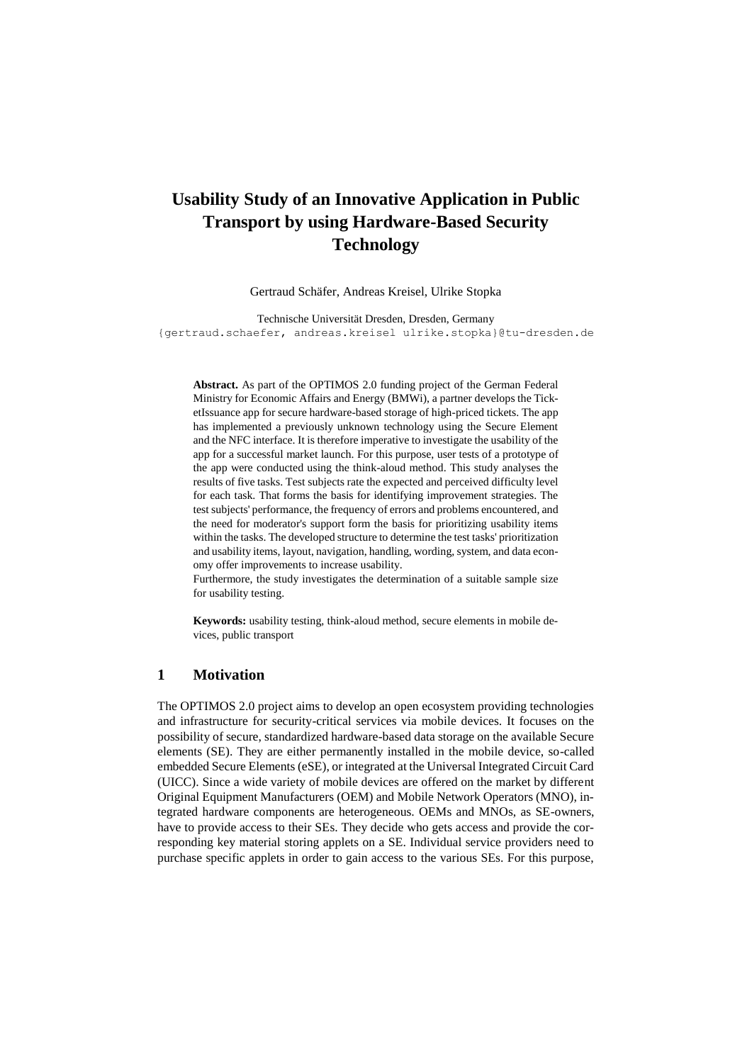# **[Usability Study of an Innovative Application in Public](https://cms.hci.international/2021/index.php?module=hciiProposalAdmin&op=view&id=1514)  [Transport by using Hardware-Based Security](https://cms.hci.international/2021/index.php?module=hciiProposalAdmin&op=view&id=1514)  [Technology](https://cms.hci.international/2021/index.php?module=hciiProposalAdmin&op=view&id=1514)**

Gertraud Schäfer, Andreas Kreisel, Ulrike Stopka

Technische Universität Dresden, Dresden, Germany {gertraud.schaefer, andreas.kreisel ulrike.stopka}@tu-dresden.de

**Abstract.** As part of the OPTIMOS 2.0 funding project of the German Federal Ministry for Economic Affairs and Energy (BMWi), a partner develops the TicketIssuance app for secure hardware-based storage of high-priced tickets. The app has implemented a previously unknown technology using the Secure Element and the NFC interface. It is therefore imperative to investigate the usability of the app for a successful market launch. For this purpose, user tests of a prototype of the app were conducted using the think-aloud method. This study analyses the results of five tasks. Test subjects rate the expected and perceived difficulty level for each task. That forms the basis for identifying improvement strategies. The test subjects' performance, the frequency of errors and problems encountered, and the need for moderator's support form the basis for prioritizing usability items within the tasks. The developed structure to determine the test tasks' prioritization and usability items, layout, navigation, handling, wording, system, and data economy offer improvements to increase usability.

Furthermore, the study investigates the determination of a suitable sample size for usability testing.

**Keywords:** usability testing, think-aloud method, secure elements in mobile devices, public transport

### **1 Motivation**

The OPTIMOS 2.0 project aims to develop an open ecosystem providing technologies and infrastructure for security-critical services via mobile devices. It focuses on the possibility of secure, standardized hardware-based data storage on the available Secure elements (SE). They are either permanently installed in the mobile device, so-called embedded Secure Elements (eSE), or integrated at the Universal Integrated Circuit Card (UICC). Since a wide variety of mobile devices are offered on the market by different Original Equipment Manufacturers (OEM) and Mobile Network Operators (MNO), integrated hardware components are heterogeneous. OEMs and MNOs, as SE-owners, have to provide access to their SEs. They decide who gets access and provide the corresponding key material storing applets on a SE. Individual service providers need to purchase specific applets in order to gain access to the various SEs. For this purpose,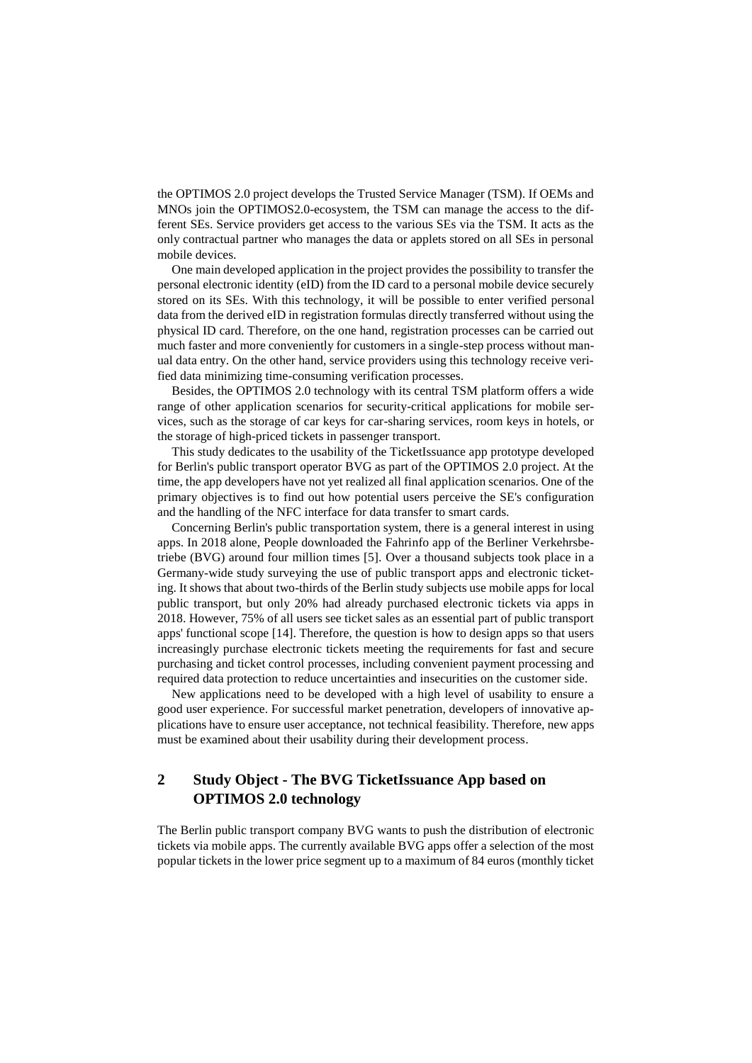the OPTIMOS 2.0 project develops the Trusted Service Manager (TSM). If OEMs and MNOs join the OPTIMOS2.0-ecosystem, the TSM can manage the access to the different SEs. Service providers get access to the various SEs via the TSM. It acts as the only contractual partner who manages the data or applets stored on all SEs in personal mobile devices.

One main developed application in the project provides the possibility to transfer the personal electronic identity (eID) from the ID card to a personal mobile device securely stored on its SEs. With this technology, it will be possible to enter verified personal data from the derived eID in registration formulas directly transferred without using the physical ID card. Therefore, on the one hand, registration processes can be carried out much faster and more conveniently for customers in a single-step process without manual data entry. On the other hand, service providers using this technology receive verified data minimizing time-consuming verification processes.

Besides, the OPTIMOS 2.0 technology with its central TSM platform offers a wide range of other application scenarios for security-critical applications for mobile services, such as the storage of car keys for car-sharing services, room keys in hotels, or the storage of high-priced tickets in passenger transport.

This study dedicates to the usability of the TicketIssuance app prototype developed for Berlin's public transport operator BVG as part of the OPTIMOS 2.0 project. At the time, the app developers have not yet realized all final application scenarios. One of the primary objectives is to find out how potential users perceive the SE's configuration and the handling of the NFC interface for data transfer to smart cards.

Concerning Berlin's public transportation system, there is a general interest in using apps. In 2018 alone, People downloaded the Fahrinfo app of the Berliner Verkehrsbetriebe (BVG) around four million times [5]. Over a thousand subjects took place in a Germany-wide study surveying the use of public transport apps and electronic ticketing. It shows that about two-thirds of the Berlin study subjects use mobile apps for local public transport, but only 20% had already purchased electronic tickets via apps in 2018. However, 75% of all users see ticket sales as an essential part of public transport apps' functional scope [14]. Therefore, the question is how to design apps so that users increasingly purchase electronic tickets meeting the requirements for fast and secure purchasing and ticket control processes, including convenient payment processing and required data protection to reduce uncertainties and insecurities on the customer side.

New applications need to be developed with a high level of usability to ensure a good user experience. For successful market penetration, developers of innovative applications have to ensure user acceptance, not technical feasibility. Therefore, new apps must be examined about their usability during their development process.

# **2 Study Object - The BVG TicketIssuance App based on OPTIMOS 2.0 technology**

The Berlin public transport company BVG wants to push the distribution of electronic tickets via mobile apps. The currently available BVG apps offer a selection of the most popular tickets in the lower price segment up to a maximum of 84 euros (monthly ticket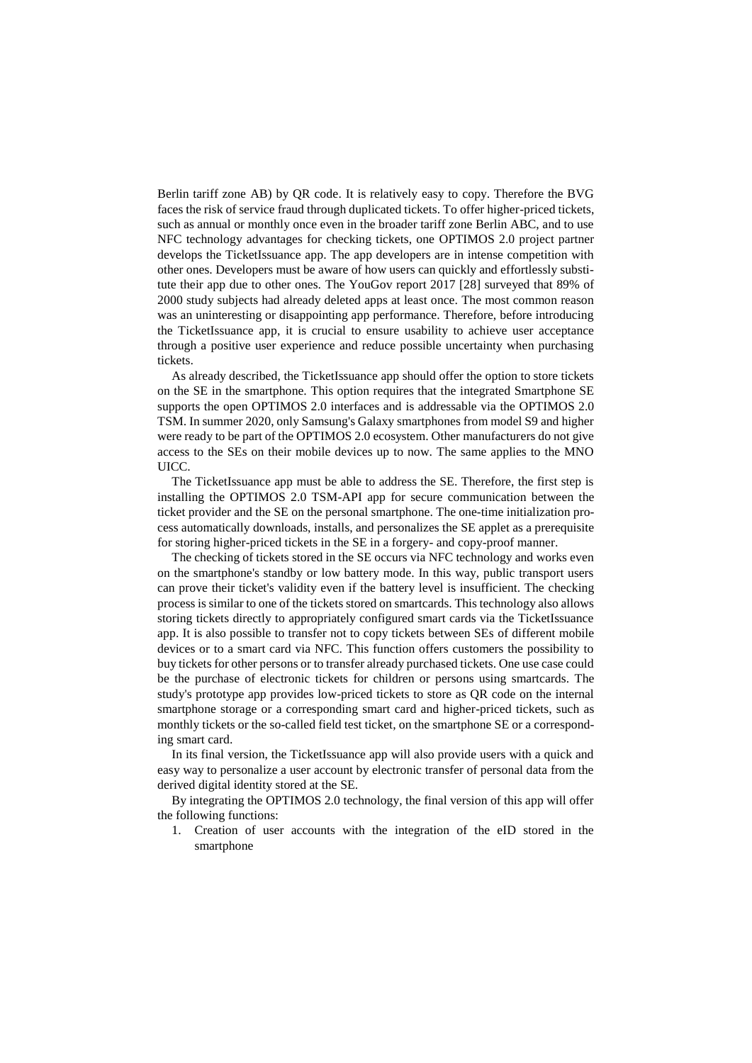Berlin tariff zone AB) by QR code. It is relatively easy to copy. Therefore the BVG faces the risk of service fraud through duplicated tickets. To offer higher-priced tickets, such as annual or monthly once even in the broader tariff zone Berlin ABC, and to use NFC technology advantages for checking tickets, one OPTIMOS 2.0 project partner develops the TicketIssuance app. The app developers are in intense competition with other ones. Developers must be aware of how users can quickly and effortlessly substitute their app due to other ones. The YouGov report 2017 [28] surveyed that 89% of 2000 study subjects had already deleted apps at least once. The most common reason was an uninteresting or disappointing app performance. Therefore, before introducing the TicketIssuance app, it is crucial to ensure usability to achieve user acceptance through a positive user experience and reduce possible uncertainty when purchasing tickets.

As already described, the TicketIssuance app should offer the option to store tickets on the SE in the smartphone. This option requires that the integrated Smartphone SE supports the open OPTIMOS 2.0 interfaces and is addressable via the OPTIMOS 2.0 TSM. In summer 2020, only Samsung's Galaxy smartphones from model S9 and higher were ready to be part of the OPTIMOS 2.0 ecosystem. Other manufacturers do not give access to the SEs on their mobile devices up to now. The same applies to the MNO UICC.

The TicketIssuance app must be able to address the SE. Therefore, the first step is installing the OPTIMOS 2.0 TSM-API app for secure communication between the ticket provider and the SE on the personal smartphone. The one-time initialization process automatically downloads, installs, and personalizes the SE applet as a prerequisite for storing higher-priced tickets in the SE in a forgery- and copy-proof manner.

The checking of tickets stored in the SE occurs via NFC technology and works even on the smartphone's standby or low battery mode. In this way, public transport users can prove their ticket's validity even if the battery level is insufficient. The checking process is similar to one of the tickets stored on smartcards. This technology also allows storing tickets directly to appropriately configured smart cards via the TicketIssuance app. It is also possible to transfer not to copy tickets between SEs of different mobile devices or to a smart card via NFC. This function offers customers the possibility to buy tickets for other persons or to transfer already purchased tickets. One use case could be the purchase of electronic tickets for children or persons using smartcards. The study's prototype app provides low-priced tickets to store as QR code on the internal smartphone storage or a corresponding smart card and higher-priced tickets, such as monthly tickets or the so-called field test ticket, on the smartphone SE or a corresponding smart card.

In its final version, the TicketIssuance app will also provide users with a quick and easy way to personalize a user account by electronic transfer of personal data from the derived digital identity stored at the SE.

By integrating the OPTIMOS 2.0 technology, the final version of this app will offer the following functions:

1. Creation of user accounts with the integration of the eID stored in the smartphone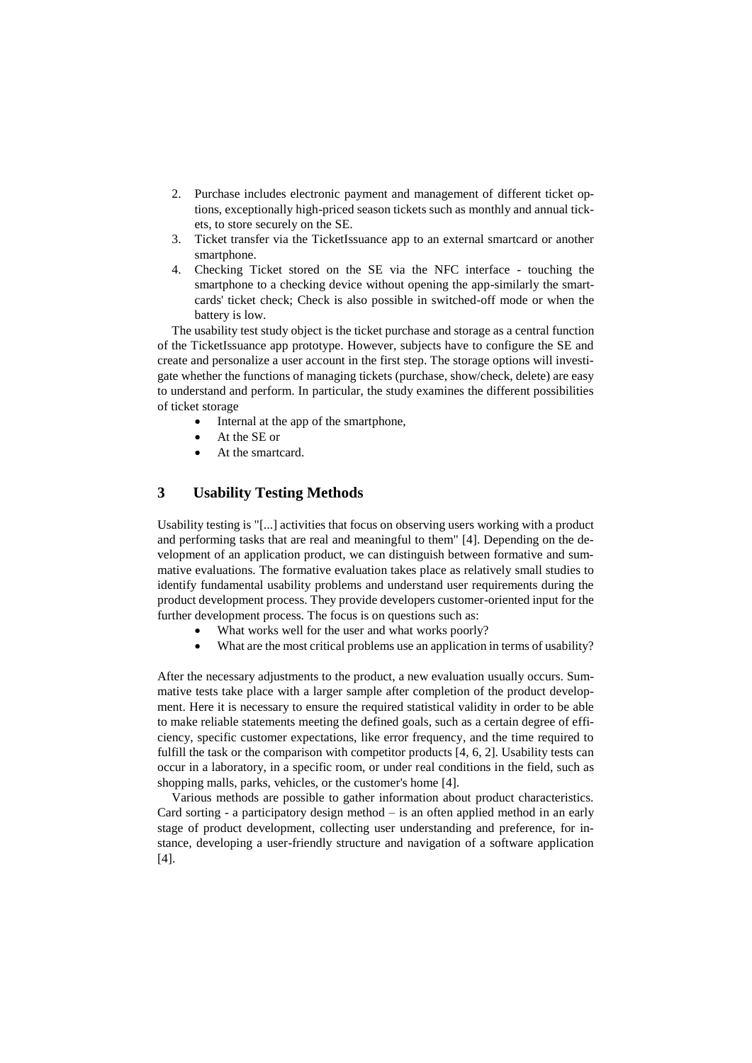- 2. Purchase includes electronic payment and management of different ticket options, exceptionally high-priced season tickets such as monthly and annual tickets, to store securely on the SE.
- 3. Ticket transfer via the TicketIssuance app to an external smartcard or another smartphone.
- 4. Checking Ticket stored on the SE via the NFC interface touching the smartphone to a checking device without opening the app-similarly the smartcards' ticket check; Check is also possible in switched-off mode or when the battery is low.

The usability test study object is the ticket purchase and storage as a central function of the TicketIssuance app prototype. However, subjects have to configure the SE and create and personalize a user account in the first step. The storage options will investigate whether the functions of managing tickets (purchase, show/check, delete) are easy to understand and perform. In particular, the study examines the different possibilities of ticket storage

- Internal at the app of the smartphone,
- At the SE or
- At the smartcard.

# **3 Usability Testing Methods**

Usability testing is "[...] activities that focus on observing users working with a product and performing tasks that are real and meaningful to them" [4]. Depending on the development of an application product, we can distinguish between formative and summative evaluations. The formative evaluation takes place as relatively small studies to identify fundamental usability problems and understand user requirements during the product development process. They provide developers customer-oriented input for the further development process. The focus is on questions such as:

- What works well for the user and what works poorly?
- What are the most critical problems use an application in terms of usability?

After the necessary adjustments to the product, a new evaluation usually occurs. Summative tests take place with a larger sample after completion of the product development. Here it is necessary to ensure the required statistical validity in order to be able to make reliable statements meeting the defined goals, such as a certain degree of efficiency, specific customer expectations, like error frequency, and the time required to fulfill the task or the comparison with competitor products [4, 6, 2]. Usability tests can occur in a laboratory, in a specific room, or under real conditions in the field, such as shopping malls, parks, vehicles, or the customer's home [4].

Various methods are possible to gather information about product characteristics. Card sorting - a participatory design method – is an often applied method in an early stage of product development, collecting user understanding and preference, for instance, developing a user-friendly structure and navigation of a software application [4].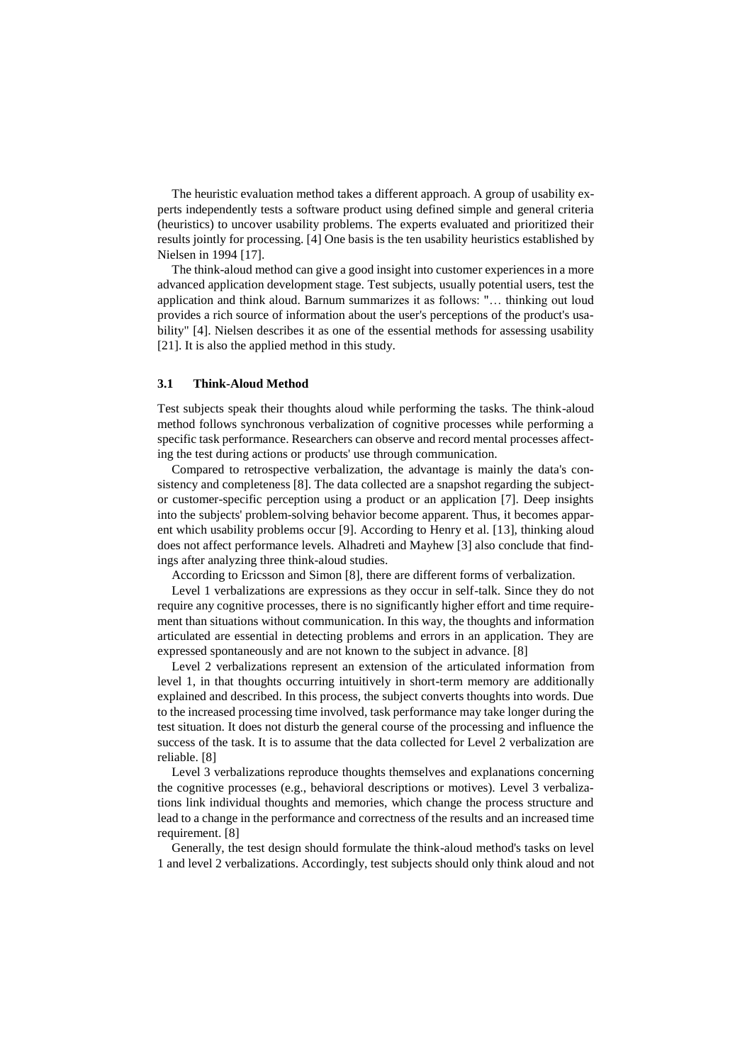The heuristic evaluation method takes a different approach. A group of usability experts independently tests a software product using defined simple and general criteria (heuristics) to uncover usability problems. The experts evaluated and prioritized their results jointly for processing. [4] One basis is the ten usability heuristics established by Nielsen in 1994 [17].

The think-aloud method can give a good insight into customer experiences in a more advanced application development stage. Test subjects, usually potential users, test the application and think aloud. Barnum summarizes it as follows: "… thinking out loud provides a rich source of information about the user's perceptions of the product's usability" [4]. Nielsen describes it as one of the essential methods for assessing usability [21]. It is also the applied method in this study.

#### **3.1 Think-Aloud Method**

Test subjects speak their thoughts aloud while performing the tasks. The think-aloud method follows synchronous verbalization of cognitive processes while performing a specific task performance. Researchers can observe and record mental processes affecting the test during actions or products' use through communication.

Compared to retrospective verbalization, the advantage is mainly the data's consistency and completeness [8]. The data collected are a snapshot regarding the subjector customer-specific perception using a product or an application [7]. Deep insights into the subjects' problem-solving behavior become apparent. Thus, it becomes apparent which usability problems occur [9]. According to Henry et al. [13], thinking aloud does not affect performance levels. Alhadreti and Mayhew [3] also conclude that findings after analyzing three think-aloud studies.

According to Ericsson and Simon [8], there are different forms of verbalization.

Level 1 verbalizations are expressions as they occur in self-talk. Since they do not require any cognitive processes, there is no significantly higher effort and time requirement than situations without communication. In this way, the thoughts and information articulated are essential in detecting problems and errors in an application. They are expressed spontaneously and are not known to the subject in advance. [8]

Level 2 verbalizations represent an extension of the articulated information from level 1, in that thoughts occurring intuitively in short-term memory are additionally explained and described. In this process, the subject converts thoughts into words. Due to the increased processing time involved, task performance may take longer during the test situation. It does not disturb the general course of the processing and influence the success of the task. It is to assume that the data collected for Level 2 verbalization are reliable. [8]

Level 3 verbalizations reproduce thoughts themselves and explanations concerning the cognitive processes (e.g., behavioral descriptions or motives). Level 3 verbalizations link individual thoughts and memories, which change the process structure and lead to a change in the performance and correctness of the results and an increased time requirement. [8]

Generally, the test design should formulate the think-aloud method's tasks on level 1 and level 2 verbalizations. Accordingly, test subjects should only think aloud and not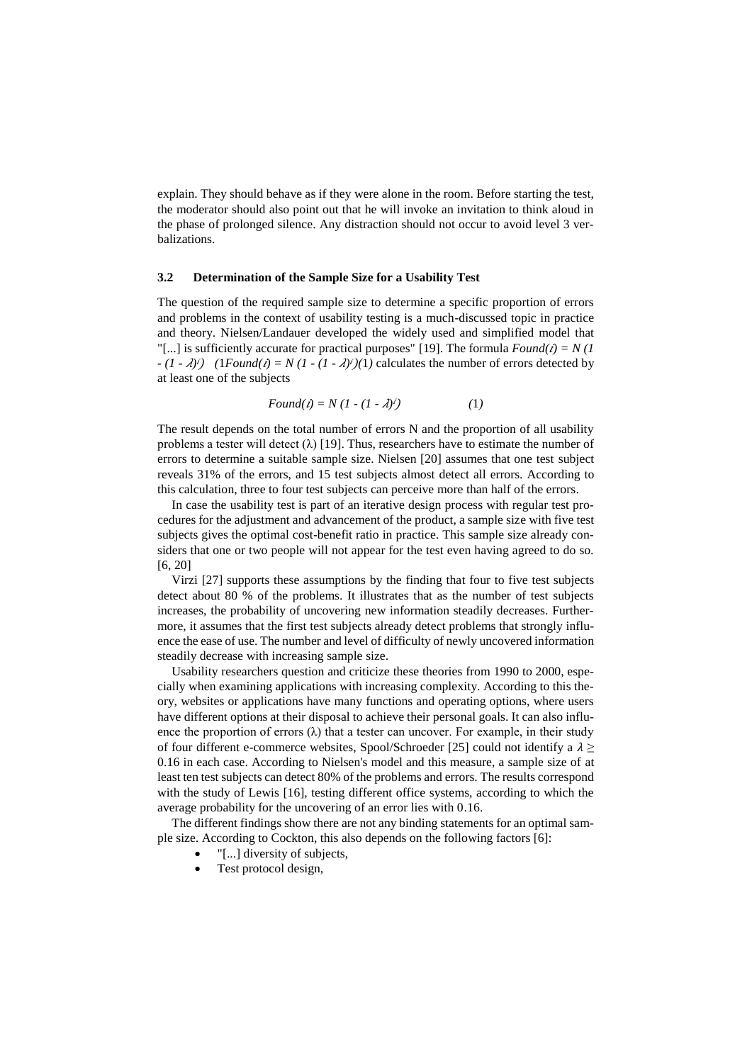explain. They should behave as if they were alone in the room. Before starting the test, the moderator should also point out that he will invoke an invitation to think aloud in the phase of prolonged silence. Any distraction should not occur to avoid level 3 verbalizations.

#### **3.2 Determination of the Sample Size for a Usability Test**

The question of the required sample size to determine a specific proportion of errors and problems in the context of usability testing is a much-discussed topic in practice and theory. Nielsen/Landauer developed the widely used and simplified model that "[...] is sufficiently accurate for practical purposes" [19]. The formula *[Found\(](#page-5-0)t)* =  $N(1)$ *-*  $(1 - \lambda)^{i}$  $(1 - \lambda)^{i}$   $(1$  *Found* $(i) = N (1 - (1 - \lambda)^{i})(1)$  calculates the number of errors detected by at least one of the subjects

$$
Found(i) = N (1 - (1 - \lambda)^{i})
$$
 (1)

<span id="page-5-0"></span>The result depends on the total number of errors N and the proportion of all usability problems a tester will detect  $(\lambda)$  [19]. Thus, researchers have to estimate the number of errors to determine a suitable sample size. Nielsen [20] assumes that one test subject reveals 31% of the errors, and 15 test subjects almost detect all errors. According to this calculation, three to four test subjects can perceive more than half of the errors.

In case the usability test is part of an iterative design process with regular test procedures for the adjustment and advancement of the product, a sample size with five test subjects gives the optimal cost-benefit ratio in practice. This sample size already considers that one or two people will not appear for the test even having agreed to do so. [6, 20]

Virzi [27] supports these assumptions by the finding that four to five test subjects detect about 80 % of the problems. It illustrates that as the number of test subjects increases, the probability of uncovering new information steadily decreases. Furthermore, it assumes that the first test subjects already detect problems that strongly influence the ease of use. The number and level of difficulty of newly uncovered information steadily decrease with increasing sample size.

Usability researchers question and criticize these theories from 1990 to 2000, especially when examining applications with increasing complexity. According to this theory, websites or applications have many functions and operating options, where users have different options at their disposal to achieve their personal goals. It can also influence the proportion of errors  $(\lambda)$  that a tester can uncover. For example, in their study of four different e-commerce websites, Spool/Schroeder [25] could not identify a  $\lambda \geq$ 0.16 in each case. According to Nielsen's model and this measure, a sample size of at least ten test subjects can detect 80% of the problems and errors. The results correspond with the study of Lewis [16], testing different office systems, according to which the average probability for the uncovering of an error lies with 0.16.

The different findings show there are not any binding statements for an optimal sample size. According to Cockton, this also depends on the following factors [6]:

- "[...] diversity of subjects,
- Test protocol design,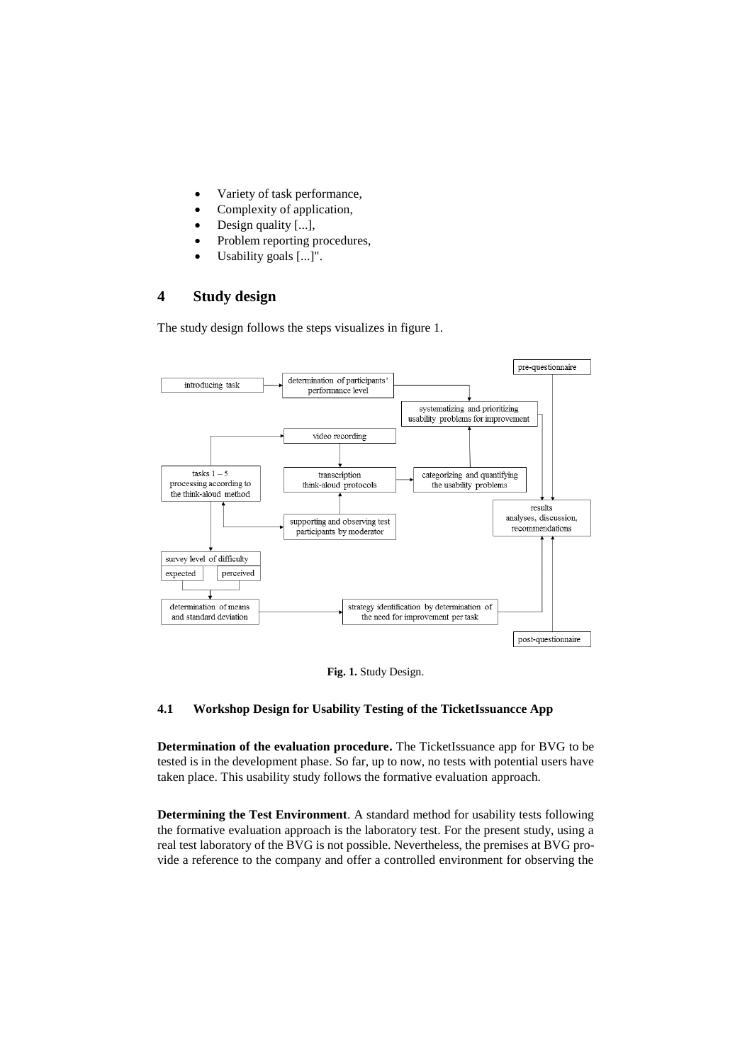- Variety of task performance,
- Complexity of application,
- Design quality [...],
- Problem reporting procedures,
- Usability goals [...]".

# **4 Study design**

The study design follows the steps visualizes in figure 1.



**Fig. 1.** Study Design.

#### **4.1 Workshop Design for Usability Testing of the TicketIssuancce App**

**Determination of the evaluation procedure.** The TicketIssuance app for BVG to be tested is in the development phase. So far, up to now, no tests with potential users have taken place. This usability study follows the formative evaluation approach.

**Determining the Test Environment**. A standard method for usability tests following the formative evaluation approach is the laboratory test. For the present study, using a real test laboratory of the BVG is not possible. Nevertheless, the premises at BVG provide a reference to the company and offer a controlled environment for observing the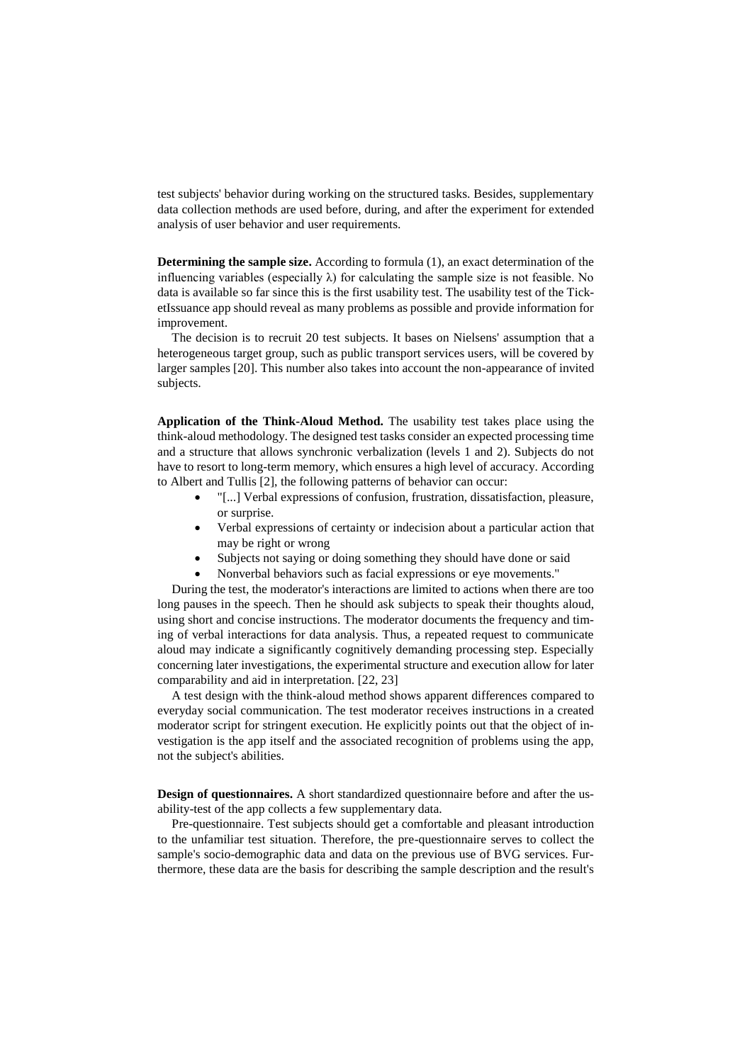test subjects' behavior during working on the structured tasks. Besides, supplementary data collection methods are used before, during, and after the experiment for extended analysis of user behavior and user requirements.

**Determining the sample size.** According to formula (1), an exact determination of the influencing variables (especially  $\lambda$ ) for calculating the sample size is not feasible. No data is available so far since this is the first usability test. The usability test of the TicketIssuance app should reveal as many problems as possible and provide information for improvement.

The decision is to recruit 20 test subjects. It bases on Nielsens' assumption that a heterogeneous target group, such as public transport services users, will be covered by larger samples [20]. This number also takes into account the non-appearance of invited subjects.

**Application of the Think-Aloud Method.** The usability test takes place using the think-aloud methodology. The designed test tasks consider an expected processing time and a structure that allows synchronic verbalization (levels 1 and 2). Subjects do not have to resort to long-term memory, which ensures a high level of accuracy. According to Albert and Tullis [2], the following patterns of behavior can occur:

- "[...] Verbal expressions of confusion, frustration, dissatisfaction, pleasure, or surprise.
- Verbal expressions of certainty or indecision about a particular action that may be right or wrong
- Subjects not saying or doing something they should have done or said
- Nonverbal behaviors such as facial expressions or eye movements."

During the test, the moderator's interactions are limited to actions when there are too long pauses in the speech. Then he should ask subjects to speak their thoughts aloud, using short and concise instructions. The moderator documents the frequency and timing of verbal interactions for data analysis. Thus, a repeated request to communicate aloud may indicate a significantly cognitively demanding processing step. Especially concerning later investigations, the experimental structure and execution allow for later comparability and aid in interpretation. [22, 23]

A test design with the think-aloud method shows apparent differences compared to everyday social communication. The test moderator receives instructions in a created moderator script for stringent execution. He explicitly points out that the object of investigation is the app itself and the associated recognition of problems using the app, not the subject's abilities.

**Design of questionnaires.** A short standardized questionnaire before and after the usability-test of the app collects a few supplementary data.

Pre-questionnaire. Test subjects should get a comfortable and pleasant introduction to the unfamiliar test situation. Therefore, the pre-questionnaire serves to collect the sample's socio-demographic data and data on the previous use of BVG services. Furthermore, these data are the basis for describing the sample description and the result's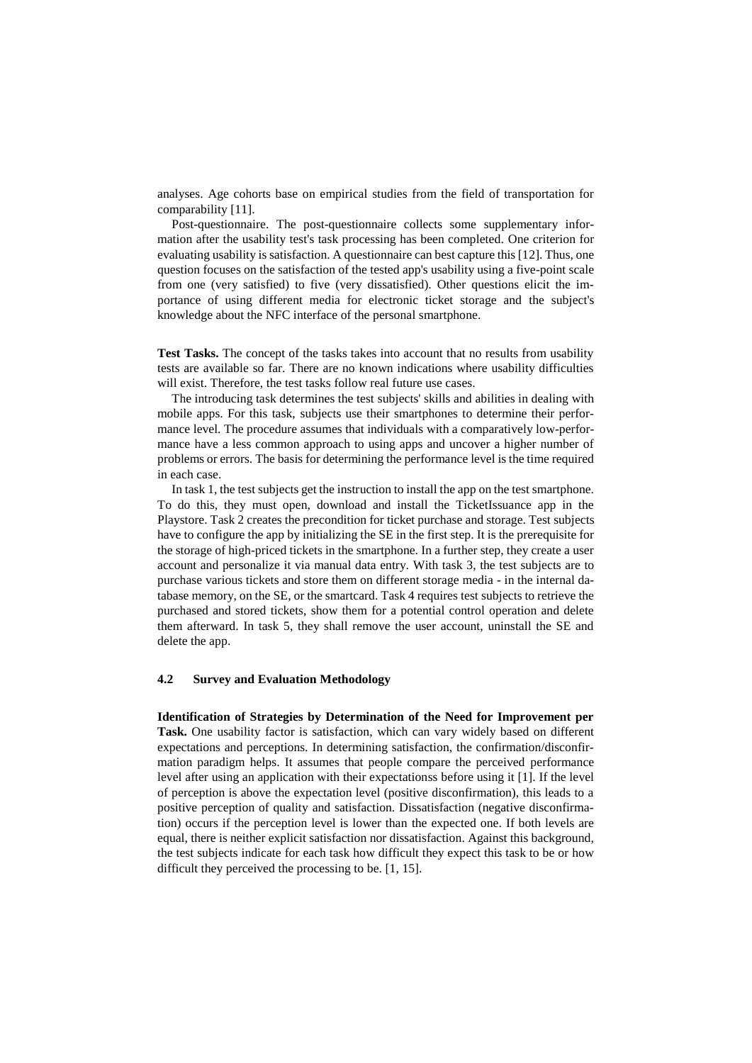analyses. Age cohorts base on empirical studies from the field of transportation for comparability [11].

Post-questionnaire. The post-questionnaire collects some supplementary information after the usability test's task processing has been completed. One criterion for evaluating usability is satisfaction. A questionnaire can best capture this [12]. Thus, one question focuses on the satisfaction of the tested app's usability using a five-point scale from one (very satisfied) to five (very dissatisfied). Other questions elicit the importance of using different media for electronic ticket storage and the subject's knowledge about the NFC interface of the personal smartphone.

**Test Tasks.** The concept of the tasks takes into account that no results from usability tests are available so far. There are no known indications where usability difficulties will exist. Therefore, the test tasks follow real future use cases.

The introducing task determines the test subjects' skills and abilities in dealing with mobile apps. For this task, subjects use their smartphones to determine their performance level. The procedure assumes that individuals with a comparatively low-performance have a less common approach to using apps and uncover a higher number of problems or errors. The basis for determining the performance level is the time required in each case.

In task 1, the test subjects get the instruction to install the app on the test smartphone. To do this, they must open, download and install the TicketIssuance app in the Playstore. Task 2 creates the precondition for ticket purchase and storage. Test subjects have to configure the app by initializing the SE in the first step. It is the prerequisite for the storage of high-priced tickets in the smartphone. In a further step, they create a user account and personalize it via manual data entry. With task 3, the test subjects are to purchase various tickets and store them on different storage media - in the internal database memory, on the SE, or the smartcard. Task 4 requires test subjects to retrieve the purchased and stored tickets, show them for a potential control operation and delete them afterward. In task 5, they shall remove the user account, uninstall the SE and delete the app.

#### **4.2 Survey and Evaluation Methodology**

**Identification of Strategies by Determination of the Need for Improvement per Task.** One usability factor is satisfaction, which can vary widely based on different expectations and perceptions. In determining satisfaction, the confirmation/disconfirmation paradigm helps. It assumes that people compare the perceived performance level after using an application with their expectationss before using it [1]. If the level of perception is above the expectation level (positive disconfirmation), this leads to a positive perception of quality and satisfaction. Dissatisfaction (negative disconfirmation) occurs if the perception level is lower than the expected one. If both levels are equal, there is neither explicit satisfaction nor dissatisfaction. Against this background, the test subjects indicate for each task how difficult they expect this task to be or how difficult they perceived the processing to be. [1, 15].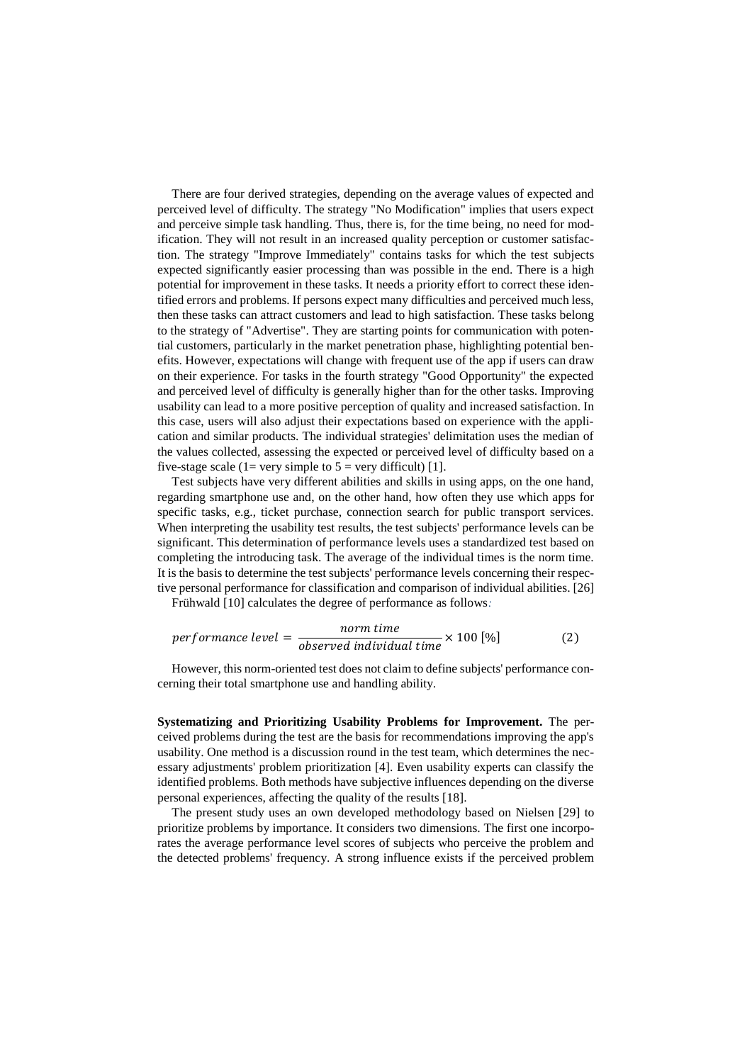There are four derived strategies, depending on the average values of expected and perceived level of difficulty. The strategy "No Modification" implies that users expect and perceive simple task handling. Thus, there is, for the time being, no need for modification. They will not result in an increased quality perception or customer satisfaction. The strategy "Improve Immediately" contains tasks for which the test subjects expected significantly easier processing than was possible in the end. There is a high potential for improvement in these tasks. It needs a priority effort to correct these identified errors and problems. If persons expect many difficulties and perceived much less, then these tasks can attract customers and lead to high satisfaction. These tasks belong to the strategy of "Advertise". They are starting points for communication with potential customers, particularly in the market penetration phase, highlighting potential benefits. However, expectations will change with frequent use of the app if users can draw on their experience. For tasks in the fourth strategy "Good Opportunity" the expected and perceived level of difficulty is generally higher than for the other tasks. Improving usability can lead to a more positive perception of quality and increased satisfaction. In this case, users will also adjust their expectations based on experience with the application and similar products. The individual strategies' delimitation uses the median of the values collected, assessing the expected or perceived level of difficulty based on a five-stage scale (1= very simple to  $5$  = very difficult) [1].

Test subjects have very different abilities and skills in using apps, on the one hand, regarding smartphone use and, on the other hand, how often they use which apps for specific tasks, e.g., ticket purchase, connection search for public transport services. When interpreting the usability test results, the test subjects' performance levels can be significant. This determination of performance levels uses a standardized test based on completing the introducing task. The average of the individual times is the norm time. It is the basis to determine the test subjects' performance levels concerning their respective personal performance for classification and comparison of individual abilities. [26]

Frühwald [10] calculates the degree of performance as follows*:*

$$
performance level = \frac{norm time}{observed individual time} \times 100 [%]
$$
 (2)

However, this norm-oriented test does not claim to define subjects' performance concerning their total smartphone use and handling ability.

**Systematizing and Prioritizing Usability Problems for Improvement.** The perceived problems during the test are the basis for recommendations improving the app's usability. One method is a discussion round in the test team, which determines the necessary adjustments' problem prioritization [4]. Even usability experts can classify the identified problems. Both methods have subjective influences depending on the diverse personal experiences, affecting the quality of the results [18].

The present study uses an own developed methodology based on Nielsen [29] to prioritize problems by importance. It considers two dimensions. The first one incorporates the average performance level scores of subjects who perceive the problem and the detected problems' frequency. A strong influence exists if the perceived problem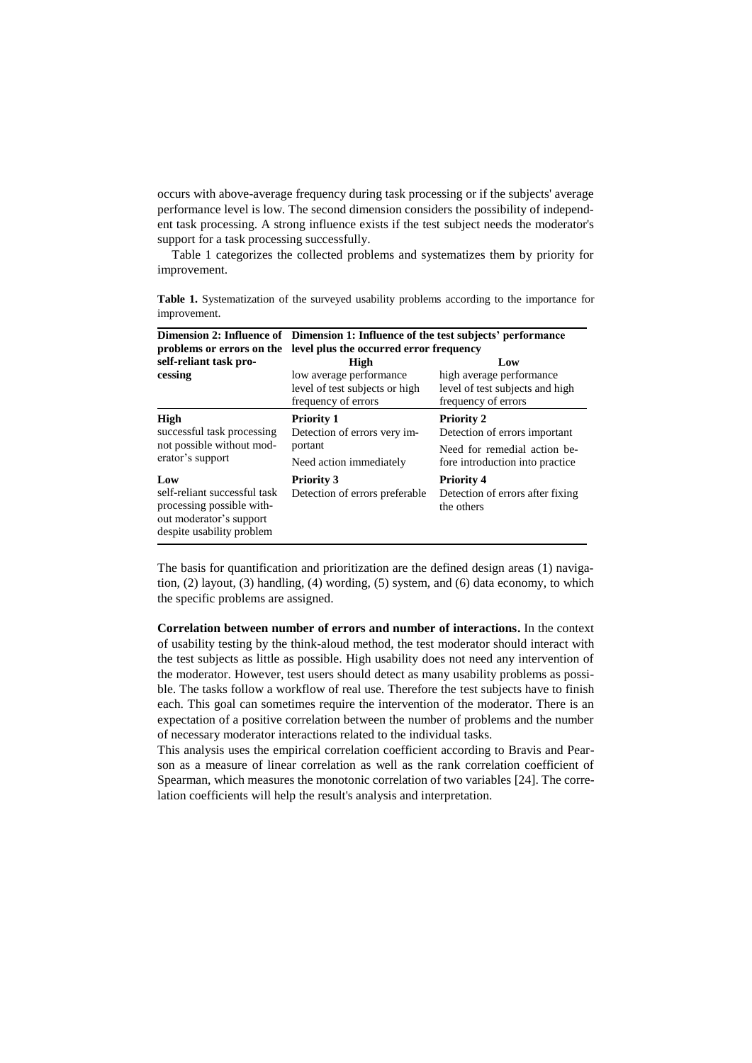occurs with above-average frequency during task processing or if the subjects' average performance level is low. The second dimension considers the possibility of independent task processing. A strong influence exists if the test subject needs the moderator's support for a task processing successfully.

[Table 1](#page-10-0) categorizes the collected problems and systematizes them by priority for improvement.

<span id="page-10-0"></span>

|              | <b>Table 1.</b> Systematization of the surveyed usability problems according to the importance for |  |  |  |  |
|--------------|----------------------------------------------------------------------------------------------------|--|--|--|--|
| improvement. |                                                                                                    |  |  |  |  |

|                                                                                                                          | Dimension 2: Influence of Dimension 1: Influence of the test subjects' performance      |                                                                                                                       |  |  |
|--------------------------------------------------------------------------------------------------------------------------|-----------------------------------------------------------------------------------------|-----------------------------------------------------------------------------------------------------------------------|--|--|
|                                                                                                                          | problems or errors on the level plus the occurred error frequency                       |                                                                                                                       |  |  |
| self-reliant task pro-                                                                                                   | High                                                                                    | Low                                                                                                                   |  |  |
| cessing                                                                                                                  | low average performance<br>level of test subjects or high<br>frequency of errors        | high average performance<br>level of test subjects and high<br>frequency of errors                                    |  |  |
| <b>High</b><br>successful task processing<br>not possible without mod-<br>erator's support                               | <b>Priority 1</b><br>Detection of errors very im-<br>portant<br>Need action immediately | <b>Priority 2</b><br>Detection of errors important<br>Need for remedial action be-<br>fore introduction into practice |  |  |
| Low<br>self-reliant successful task<br>processing possible with-<br>out moderator's support<br>despite usability problem | <b>Priority 3</b><br>Detection of errors preferable                                     | <b>Priority 4</b><br>Detection of errors after fixing<br>the others                                                   |  |  |

The basis for quantification and prioritization are the defined design areas (1) navigation, (2) layout, (3) handling, (4) wording, (5) system, and (6) data economy, to which the specific problems are assigned.

**Correlation between number of errors and number of interactions.** In the context of usability testing by the think-aloud method, the test moderator should interact with the test subjects as little as possible. High usability does not need any intervention of the moderator. However, test users should detect as many usability problems as possible. The tasks follow a workflow of real use. Therefore the test subjects have to finish each. This goal can sometimes require the intervention of the moderator. There is an expectation of a positive correlation between the number of problems and the number of necessary moderator interactions related to the individual tasks.

This analysis uses the empirical correlation coefficient according to Bravis and Pearson as a measure of linear correlation as well as the rank correlation coefficient of Spearman, which measures the monotonic correlation of two variables [24]. The correlation coefficients will help the result's analysis and interpretation.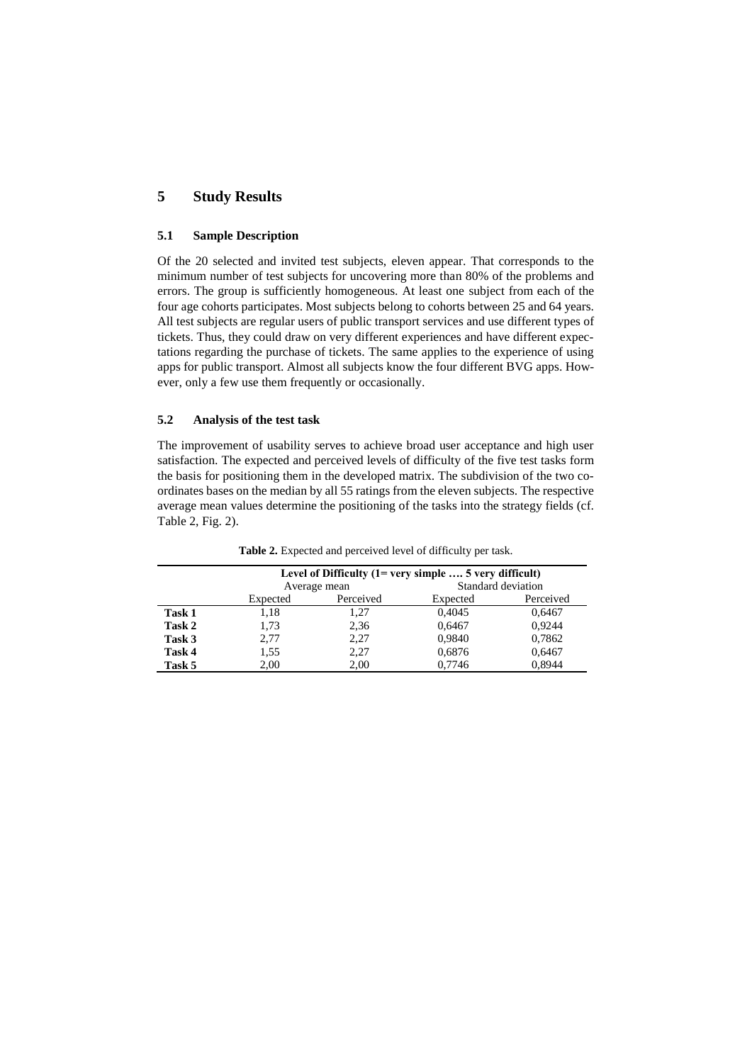# **5 Study Results**

#### **5.1 Sample Description**

Of the 20 selected and invited test subjects, eleven appear. That corresponds to the minimum number of test subjects for uncovering more than 80% of the problems and errors. The group is sufficiently homogeneous. At least one subject from each of the four age cohorts participates. Most subjects belong to cohorts between 25 and 64 years. All test subjects are regular users of public transport services and use different types of tickets. Thus, they could draw on very different experiences and have different expectations regarding the purchase of tickets. The same applies to the experience of using apps for public transport. Almost all subjects know the four different BVG apps. However, only a few use them frequently or occasionally.

#### **5.2 Analysis of the test task**

The improvement of usability serves to achieve broad user acceptance and high user satisfaction. The expected and perceived levels of difficulty of the five test tasks form the basis for positioning them in the developed matrix. The subdivision of the two coordinates bases on the median by all 55 ratings from the eleven subjects. The respective average mean values determine the positioning of the tasks into the strategy fields (cf. Table 2, Fig. 2).

|        | Level of Difficulty $(1 = \text{very simple} \dots 5 \text{ very difficult})$ |              |                       |        |  |
|--------|-------------------------------------------------------------------------------|--------------|-----------------------|--------|--|
|        |                                                                               | Average mean | Standard deviation    |        |  |
|        | Expected                                                                      | Perceived    | Perceived<br>Expected |        |  |
| Task 1 | 1,18                                                                          | 1,27         | 0,4045                | 0,6467 |  |
| Task 2 | 1,73                                                                          | 2,36         | 0,6467                | 0,9244 |  |
| Task 3 | 2,77                                                                          | 2,27         | 0,9840                | 0,7862 |  |
| Task 4 | 1,55                                                                          | 2,27         | 0,6876                | 0,6467 |  |
| Task 5 | 2.00                                                                          | 2.00         | 0.7746                | 0.8944 |  |

**Table 2.** Expected and perceived level of difficulty per task.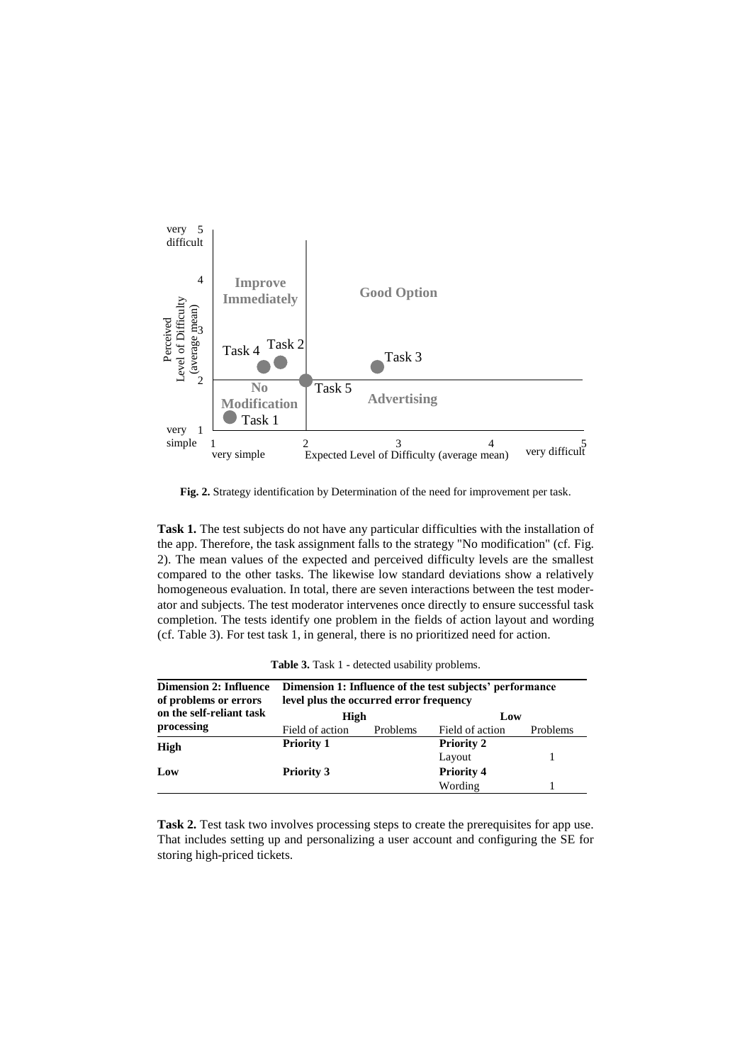

<span id="page-12-0"></span>**Fig. 2.** Strategy identification by Determination of the need for improvement per task.

**Task 1.** The test subjects do not have any particular difficulties with the installation of the app. Therefore, the task assignment falls to the strategy "No modification" (cf. [Fig.](#page-12-0) [2\)](#page-12-0). The mean values of the expected and perceived difficulty levels are the smallest compared to the other tasks. The likewise low standard deviations show a relatively homogeneous evaluation. In total, there are seven interactions between the test moderator and subjects. The test moderator intervenes once directly to ensure successful task completion. The tests identify one problem in the fields of action layout and wording (cf. [Table 3\)](#page-12-1). For test task 1, in general, there is no prioritized need for action.

<span id="page-12-1"></span>

| <b>Dimension 2: Influence</b><br>of problems or errors | Dimension 1: Influence of the test subjects' performance<br>level plus the occurred error frequency |          |                   |          |  |
|--------------------------------------------------------|-----------------------------------------------------------------------------------------------------|----------|-------------------|----------|--|
| on the self-reliant task                               | High                                                                                                |          | Low               |          |  |
| processing                                             | Field of action                                                                                     | Problems | Field of action   | Problems |  |
| <b>High</b>                                            | <b>Priority 1</b>                                                                                   |          | <b>Priority 2</b> |          |  |
|                                                        |                                                                                                     |          | Layout            |          |  |
| Low                                                    | <b>Priority 3</b>                                                                                   |          | <b>Priority 4</b> |          |  |
|                                                        |                                                                                                     |          | Wording           |          |  |

**Table 3.** Task 1 - detected usability problems.

**Task 2.** Test task two involves processing steps to create the prerequisites for app use. That includes setting up and personalizing a user account and configuring the SE for storing high-priced tickets.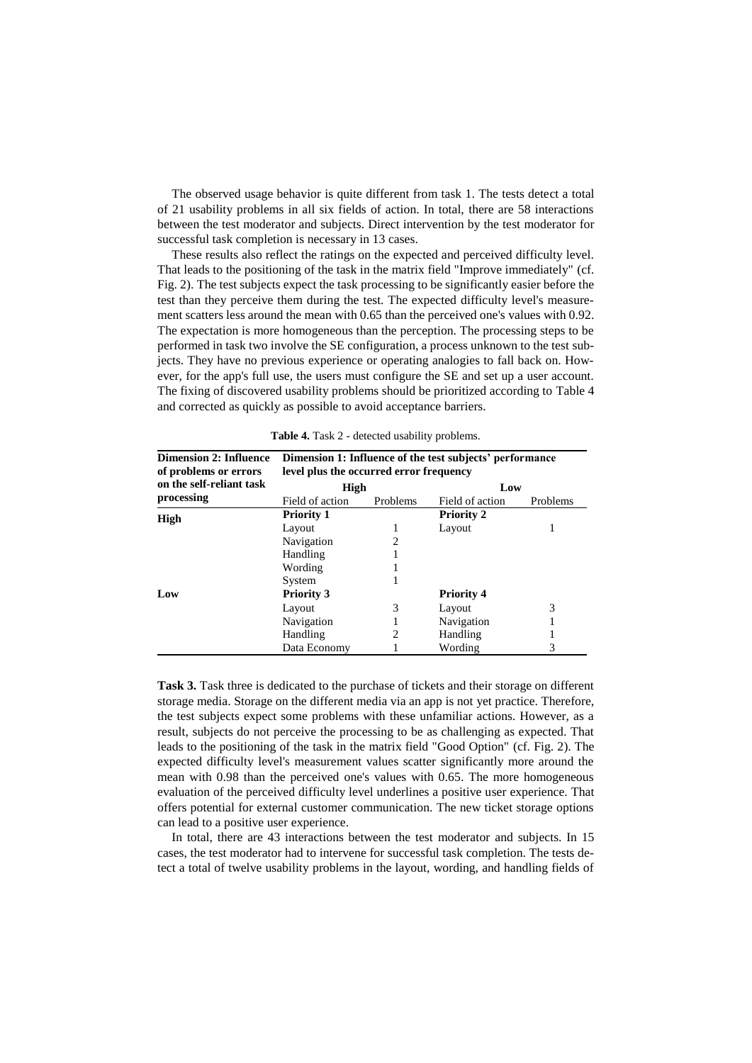The observed usage behavior is quite different from task 1. The tests detect a total of 21 usability problems in all six fields of action. In total, there are 58 interactions between the test moderator and subjects. Direct intervention by the test moderator for successful task completion is necessary in 13 cases.

These results also reflect the ratings on the expected and perceived difficulty level. That leads to the positioning of the task in the matrix field "Improve immediately" (cf. [Fig.](#page-12-0) 2). The test subjects expect the task processing to be significantly easier before the test than they perceive them during the test. The expected difficulty level's measurement scatters less around the mean with 0.65 than the perceived one's values with 0.92. The expectation is more homogeneous than the perception. The processing steps to be performed in task two involve the SE configuration, a process unknown to the test subjects. They have no previous experience or operating analogies to fall back on. However, for the app's full use, the users must configure the SE and set up a user account. The fixing of discovered usability problems should be prioritized according to [Table 4](#page-13-0) and corrected as quickly as possible to avoid acceptance barriers.

<span id="page-13-0"></span>

| <b>Dimension 2: Influence</b><br>of problems or errors | Dimension 1: Influence of the test subjects' performance<br>level plus the occurred error frequency |          |                   |          |  |
|--------------------------------------------------------|-----------------------------------------------------------------------------------------------------|----------|-------------------|----------|--|
| on the self-reliant task                               | High                                                                                                |          | Low               |          |  |
| processing                                             | Field of action                                                                                     | Problems | Field of action   | Problems |  |
| <b>High</b>                                            | <b>Priority 1</b>                                                                                   |          | <b>Priority 2</b> |          |  |
|                                                        | Layout                                                                                              |          | Layout            |          |  |
|                                                        | Navigation                                                                                          | 2        |                   |          |  |
|                                                        | Handling                                                                                            |          |                   |          |  |
|                                                        | Wording                                                                                             |          |                   |          |  |
|                                                        | System                                                                                              |          |                   |          |  |
| Low                                                    | <b>Priority 3</b>                                                                                   |          | <b>Priority 4</b> |          |  |
|                                                        | Layout                                                                                              | 3        | Layout            | 3        |  |
|                                                        | Navigation                                                                                          |          | Navigation        |          |  |
|                                                        | Handling                                                                                            | 2        | Handling          |          |  |
|                                                        | Data Economy                                                                                        |          | Wording           | 3        |  |

**Table 4.** Task 2 - detected usability problems.

**Task 3.** Task three is dedicated to the purchase of tickets and their storage on different storage media. Storage on the different media via an app is not yet practice. Therefore, the test subjects expect some problems with these unfamiliar actions. However, as a result, subjects do not perceive the processing to be as challenging as expected. That leads to the positioning of the task in the matrix field "Good Option" (cf. [Fig.](#page-12-0) 2). The expected difficulty level's measurement values scatter significantly more around the mean with 0.98 than the perceived one's values with 0.65. The more homogeneous evaluation of the perceived difficulty level underlines a positive user experience. That offers potential for external customer communication. The new ticket storage options can lead to a positive user experience.

In total, there are 43 interactions between the test moderator and subjects. In 15 cases, the test moderator had to intervene for successful task completion. The tests detect a total of twelve usability problems in the layout, wording, and handling fields of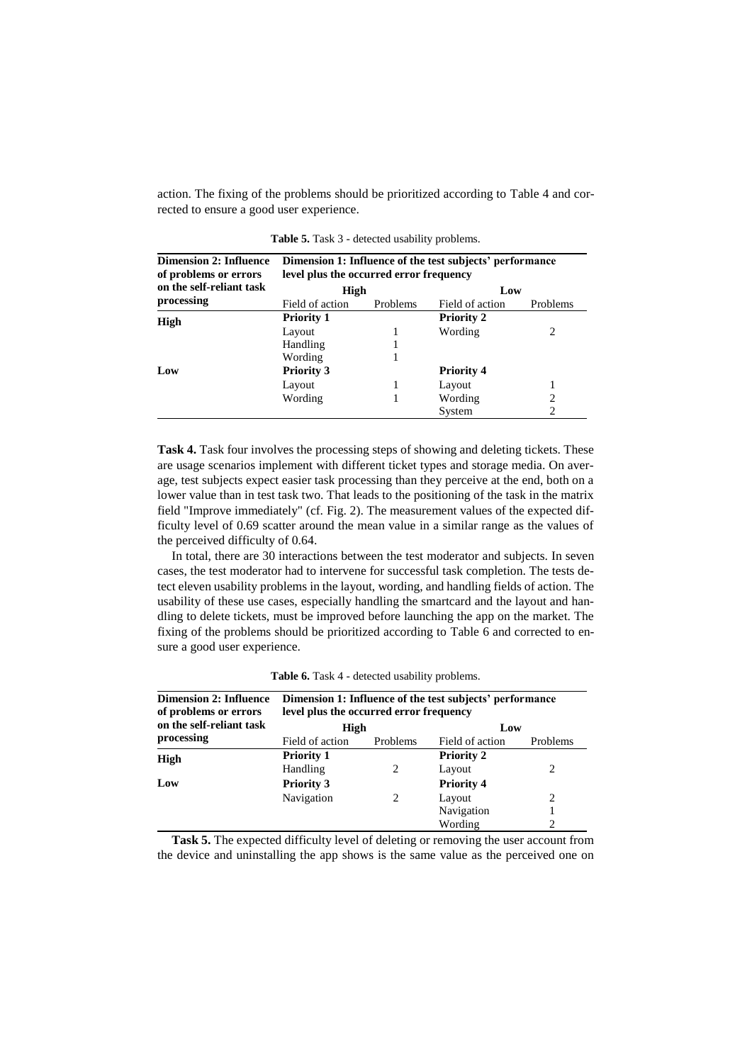action. The fixing of the problems should be prioritized according to [Table 4](#page-13-0) and corrected to ensure a good user experience.

| <b>Dimension 2: Influence</b><br>of problems or errors | Dimension 1: Influence of the test subjects' performance<br>level plus the occurred error frequency |          |                   |          |  |
|--------------------------------------------------------|-----------------------------------------------------------------------------------------------------|----------|-------------------|----------|--|
| on the self-reliant task                               | High                                                                                                |          | Low               |          |  |
| processing                                             | Field of action                                                                                     | Problems | Field of action   | Problems |  |
| High                                                   | <b>Priority 1</b>                                                                                   |          | <b>Priority 2</b> |          |  |
|                                                        | Layout                                                                                              |          | Wording           | 2        |  |
|                                                        | Handling                                                                                            |          |                   |          |  |
|                                                        | Wording                                                                                             |          |                   |          |  |
| Low                                                    | <b>Priority 3</b>                                                                                   |          | <b>Priority 4</b> |          |  |
|                                                        | Layout                                                                                              |          | Layout            |          |  |
|                                                        | Wording                                                                                             |          | Wording           | 2        |  |
|                                                        |                                                                                                     |          | System            | 2        |  |

**Table 5.** Task 3 - detected usability problems.

**Task 4.** Task four involves the processing steps of showing and deleting tickets. These are usage scenarios implement with different ticket types and storage media. On average, test subjects expect easier task processing than they perceive at the end, both on a lower value than in test task two. That leads to the positioning of the task in the matrix field "Improve immediately" (cf. [Fig.](#page-12-0) 2). The measurement values of the expected difficulty level of 0.69 scatter around the mean value in a similar range as the values of the perceived difficulty of 0.64.

In total, there are 30 interactions between the test moderator and subjects. In seven cases, the test moderator had to intervene for successful task completion. The tests detect eleven usability problems in the layout, wording, and handling fields of action. The usability of these use cases, especially handling the smartcard and the layout and handling to delete tickets, must be improved before launching the app on the market. The fixing of the problems should be prioritized according to [Table 6](#page-14-0) and corrected to ensure a good user experience.

<span id="page-14-0"></span>

| <b>Dimension 2: Influence</b><br>of problems or errors | Dimension 1: Influence of the test subjects' performance<br>level plus the occurred error frequency |          |                   |          |  |
|--------------------------------------------------------|-----------------------------------------------------------------------------------------------------|----------|-------------------|----------|--|
| on the self-reliant task                               | High                                                                                                |          | Low               |          |  |
| processing                                             | Field of action                                                                                     | Problems | Field of action   | Problems |  |
| <b>High</b>                                            | <b>Priority 1</b>                                                                                   |          | <b>Priority 2</b> |          |  |
|                                                        | Handling                                                                                            | 2        | Layout            | 2        |  |
| Low                                                    | <b>Priority 3</b>                                                                                   |          | <b>Priority 4</b> |          |  |
|                                                        | Navigation                                                                                          | 2        | Layout            | 2        |  |
|                                                        |                                                                                                     |          | Navigation        |          |  |
|                                                        |                                                                                                     |          | Wording           | 2        |  |

**Table 6.** Task 4 - detected usability problems.

**Task 5.** The expected difficulty level of deleting or removing the user account from the device and uninstalling the app shows is the same value as the perceived one on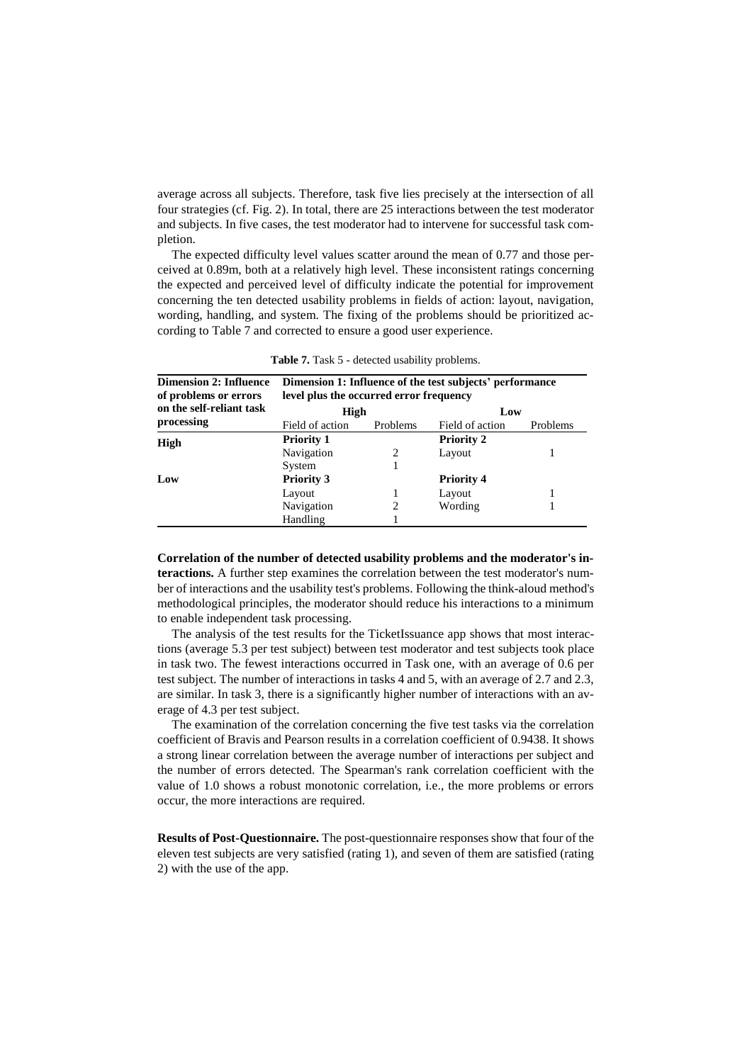average across all subjects. Therefore, task five lies precisely at the intersection of all four strategies (cf. [Fig.](#page-12-0) 2). In total, there are 25 interactions between the test moderator and subjects. In five cases, the test moderator had to intervene for successful task completion.

The expected difficulty level values scatter around the mean of 0.77 and those perceived at 0.89m, both at a relatively high level. These inconsistent ratings concerning the expected and perceived level of difficulty indicate the potential for improvement concerning the ten detected usability problems in fields of action: layout, navigation, wording, handling, and system. The fixing of the problems should be prioritized according to [Table 7](#page-15-0) and corrected to ensure a good user experience.

<span id="page-15-0"></span>

| <b>Dimension 2: Influence</b><br>of problems or errors | Dimension 1: Influence of the test subjects' performance<br>level plus the occurred error frequency |          |                   |          |  |
|--------------------------------------------------------|-----------------------------------------------------------------------------------------------------|----------|-------------------|----------|--|
| on the self-reliant task                               | High                                                                                                |          | Low               |          |  |
| processing                                             | Field of action                                                                                     | Problems | Field of action   | Problems |  |
| <b>High</b>                                            | <b>Priority 1</b>                                                                                   |          | <b>Priority 2</b> |          |  |
|                                                        | Navigation                                                                                          | 2        | Layout            |          |  |
|                                                        | System                                                                                              |          |                   |          |  |
| Low                                                    | <b>Priority 3</b>                                                                                   |          | <b>Priority 4</b> |          |  |
|                                                        | Layout                                                                                              |          | Layout            |          |  |
|                                                        | Navigation                                                                                          | 2        | Wording           |          |  |
|                                                        | Handling                                                                                            |          |                   |          |  |

**Table 7.** Task 5 - detected usability problems.

**Correlation of the number of detected usability problems and the moderator's interactions.** A further step examines the correlation between the test moderator's number of interactions and the usability test's problems. Following the think-aloud method's methodological principles, the moderator should reduce his interactions to a minimum to enable independent task processing.

The analysis of the test results for the TicketIssuance app shows that most interactions (average 5.3 per test subject) between test moderator and test subjects took place in task two. The fewest interactions occurred in Task one, with an average of 0.6 per test subject. The number of interactions in tasks 4 and 5, with an average of 2.7 and 2.3, are similar. In task 3, there is a significantly higher number of interactions with an average of 4.3 per test subject.

The examination of the correlation concerning the five test tasks via the correlation coefficient of Bravis and Pearson results in a correlation coefficient of 0.9438. It shows a strong linear correlation between the average number of interactions per subject and the number of errors detected. The Spearman's rank correlation coefficient with the value of 1.0 shows a robust monotonic correlation, i.e., the more problems or errors occur, the more interactions are required.

**Results of Post-Questionnaire.** The post-questionnaire responses show that four of the eleven test subjects are very satisfied (rating 1), and seven of them are satisfied (rating 2) with the use of the app.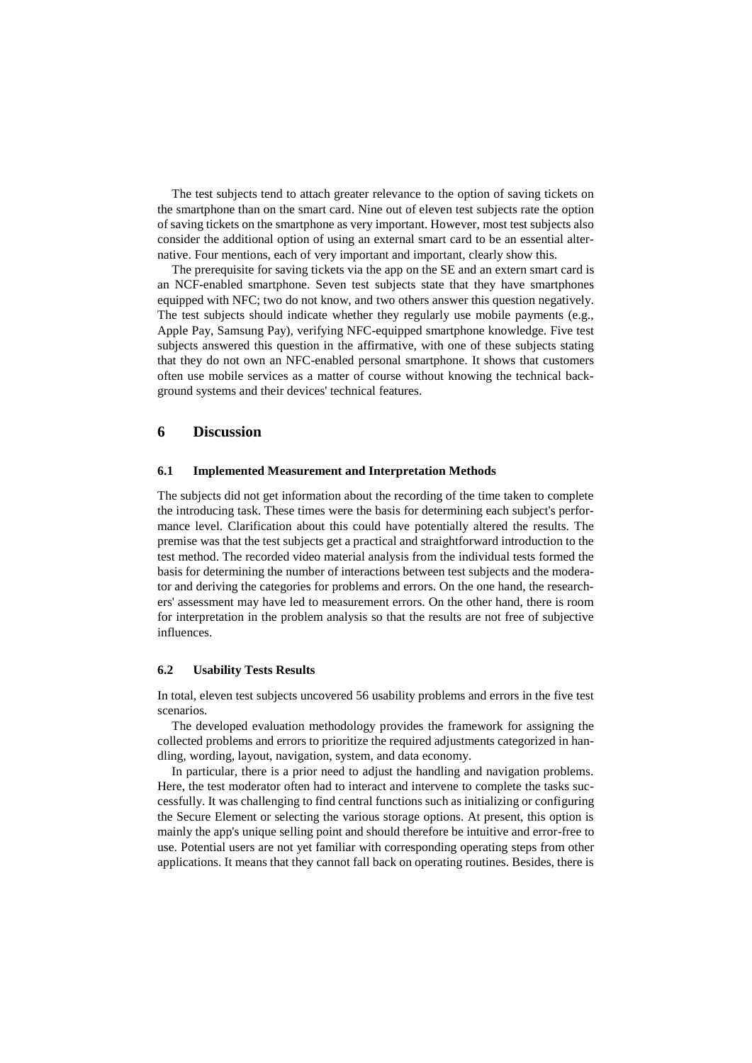The test subjects tend to attach greater relevance to the option of saving tickets on the smartphone than on the smart card. Nine out of eleven test subjects rate the option of saving tickets on the smartphone as very important. However, most test subjects also consider the additional option of using an external smart card to be an essential alternative. Four mentions, each of very important and important, clearly show this.

The prerequisite for saving tickets via the app on the SE and an extern smart card is an NCF-enabled smartphone. Seven test subjects state that they have smartphones equipped with NFC; two do not know, and two others answer this question negatively. The test subjects should indicate whether they regularly use mobile payments (e.g., Apple Pay, Samsung Pay), verifying NFC-equipped smartphone knowledge. Five test subjects answered this question in the affirmative, with one of these subjects stating that they do not own an NFC-enabled personal smartphone. It shows that customers often use mobile services as a matter of course without knowing the technical background systems and their devices' technical features.

#### **6 Discussion**

#### **6.1 Implemented Measurement and Interpretation Methods**

The subjects did not get information about the recording of the time taken to complete the introducing task. These times were the basis for determining each subject's performance level. Clarification about this could have potentially altered the results. The premise was that the test subjects get a practical and straightforward introduction to the test method. The recorded video material analysis from the individual tests formed the basis for determining the number of interactions between test subjects and the moderator and deriving the categories for problems and errors. On the one hand, the researchers' assessment may have led to measurement errors. On the other hand, there is room for interpretation in the problem analysis so that the results are not free of subjective influences.

#### **6.2 Usability Tests Results**

In total, eleven test subjects uncovered 56 usability problems and errors in the five test scenarios.

The developed evaluation methodology provides the framework for assigning the collected problems and errors to prioritize the required adjustments categorized in handling, wording, layout, navigation, system, and data economy.

In particular, there is a prior need to adjust the handling and navigation problems. Here, the test moderator often had to interact and intervene to complete the tasks successfully. It was challenging to find central functions such as initializing or configuring the Secure Element or selecting the various storage options. At present, this option is mainly the app's unique selling point and should therefore be intuitive and error-free to use. Potential users are not yet familiar with corresponding operating steps from other applications. It means that they cannot fall back on operating routines. Besides, there is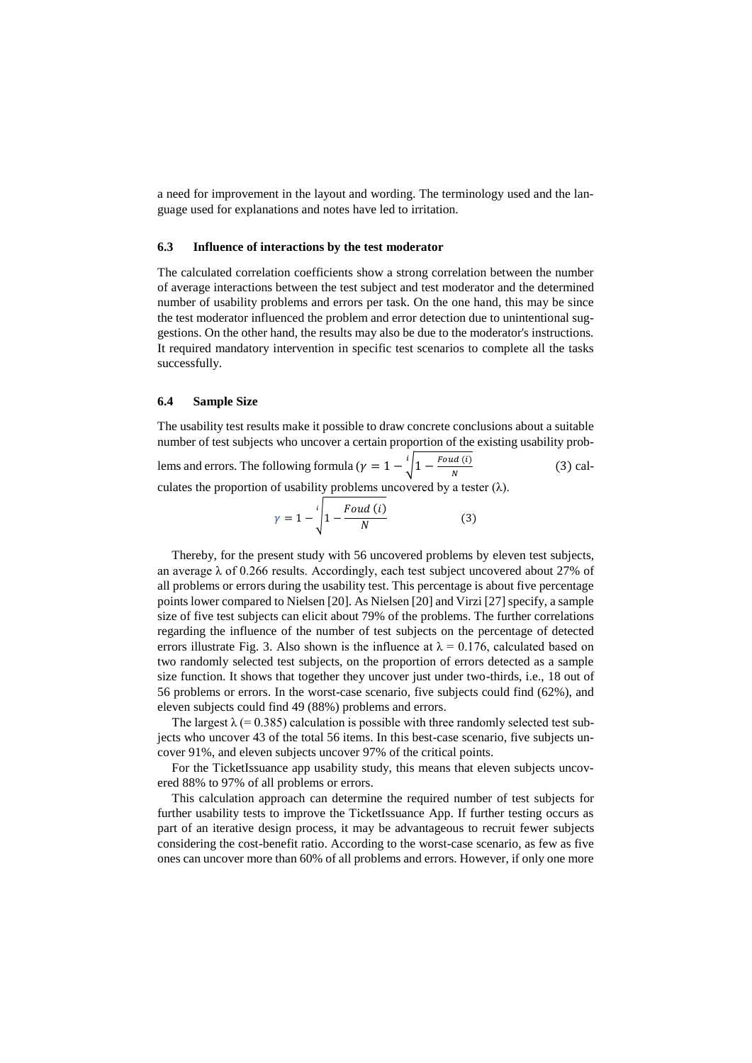a need for improvement in the layout and wording. The terminology used and the language used for explanations and notes have led to irritation.

#### **6.3 Influence of interactions by the test moderator**

The calculated correlation coefficients show a strong correlation between the number of average interactions between the test subject and test moderator and the determined number of usability problems and errors per task. On the one hand, this may be since the test moderator influenced the problem and error detection due to unintentional suggestions. On the other hand, the results may also be due to the moderator's instructions. It required mandatory intervention in specific test scenarios to complete all the tasks successfully.

#### **6.4 Sample Size**

The usability test results make it possible to draw concrete conclusions about a suitable number of test subjects who uncover a certain proportion of the existing usability problems and errors. The following formula ( $\gamma = 1 - \frac{i}{\lambda} \left| 1 - \frac{Found\ (i)}{N} \right|$ N i (3) calculates the proportion of usability problems uncovered by a tester  $(\lambda)$ .

$$
\gamma = 1 - \int_{0}^{i} 1 - \frac{Found\ (i)}{N} \tag{3}
$$

<span id="page-17-0"></span>Thereby, for the present study with 56 uncovered problems by eleven test subjects, an average λ of 0.266 results. Accordingly, each test subject uncovered about 27% of all problems or errors during the usability test. This percentage is about five percentage points lower compared to Nielsen [20]. As Nielsen [20] and Virzi [27] specify, a sample size of five test subjects can elicit about 79% of the problems. The further correlations regarding the influence of the number of test subjects on the percentage of detected errors illustrate [Fig. 3.](#page-18-0) Also shown is the influence at  $\lambda = 0.176$ , calculated based on two randomly selected test subjects, on the proportion of errors detected as a sample size function. It shows that together they uncover just under two-thirds, i.e., 18 out of 56 problems or errors. In the worst-case scenario, five subjects could find (62%), and eleven subjects could find 49 (88%) problems and errors.

The largest  $\lambda$  (= 0.385) calculation is possible with three randomly selected test subjects who uncover 43 of the total 56 items. In this best-case scenario, five subjects uncover 91%, and eleven subjects uncover 97% of the critical points.

For the TicketIssuance app usability study, this means that eleven subjects uncovered 88% to 97% of all problems or errors.

This calculation approach can determine the required number of test subjects for further usability tests to improve the TicketIssuance App. If further testing occurs as part of an iterative design process, it may be advantageous to recruit fewer subjects considering the cost-benefit ratio. According to the worst-case scenario, as few as five ones can uncover more than 60% of all problems and errors. However, if only one more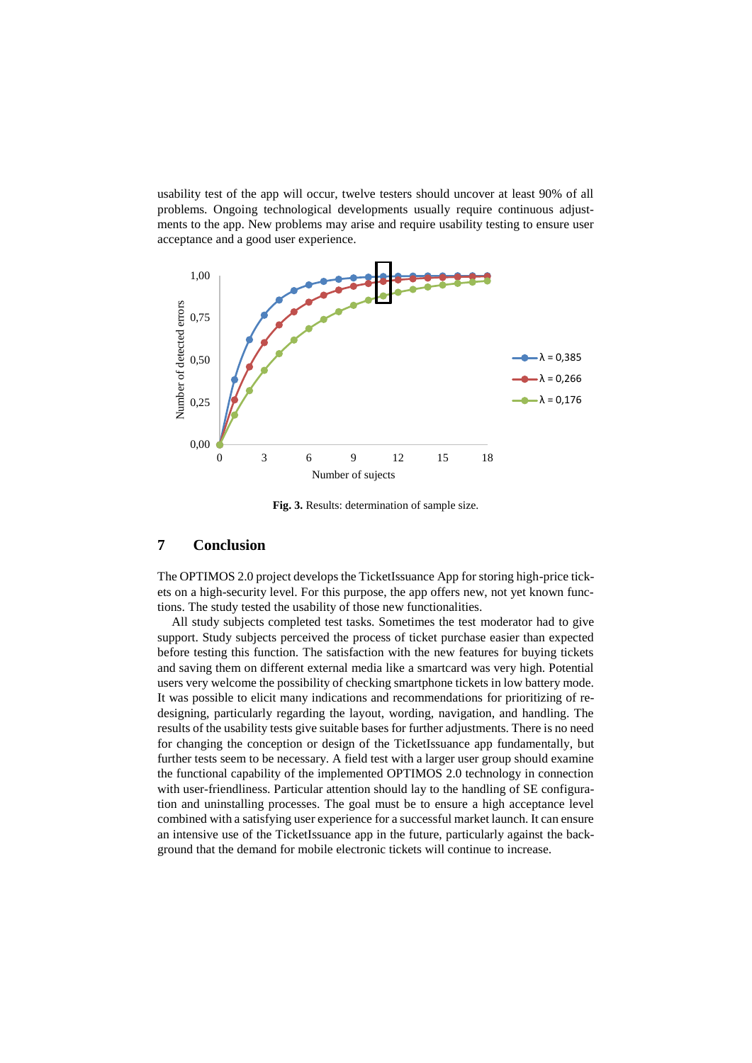usability test of the app will occur, twelve testers should uncover at least 90% of all problems. Ongoing technological developments usually require continuous adjustments to the app. New problems may arise and require usability testing to ensure user acceptance and a good user experience.



**Fig. 3.** Results: determination of sample size.

## <span id="page-18-0"></span>**7 Conclusion**

The OPTIMOS 2.0 project develops the TicketIssuance App for storing high-price tickets on a high-security level. For this purpose, the app offers new, not yet known functions. The study tested the usability of those new functionalities.

All study subjects completed test tasks. Sometimes the test moderator had to give support. Study subjects perceived the process of ticket purchase easier than expected before testing this function. The satisfaction with the new features for buying tickets and saving them on different external media like a smartcard was very high. Potential users very welcome the possibility of checking smartphone tickets in low battery mode. It was possible to elicit many indications and recommendations for prioritizing of redesigning, particularly regarding the layout, wording, navigation, and handling. The results of the usability tests give suitable bases for further adjustments. There is no need for changing the conception or design of the TicketIssuance app fundamentally, but further tests seem to be necessary. A field test with a larger user group should examine the functional capability of the implemented OPTIMOS 2.0 technology in connection with user-friendliness. Particular attention should lay to the handling of SE configuration and uninstalling processes. The goal must be to ensure a high acceptance level combined with a satisfying user experience for a successful market launch. It can ensure an intensive use of the TicketIssuance app in the future, particularly against the background that the demand for mobile electronic tickets will continue to increase.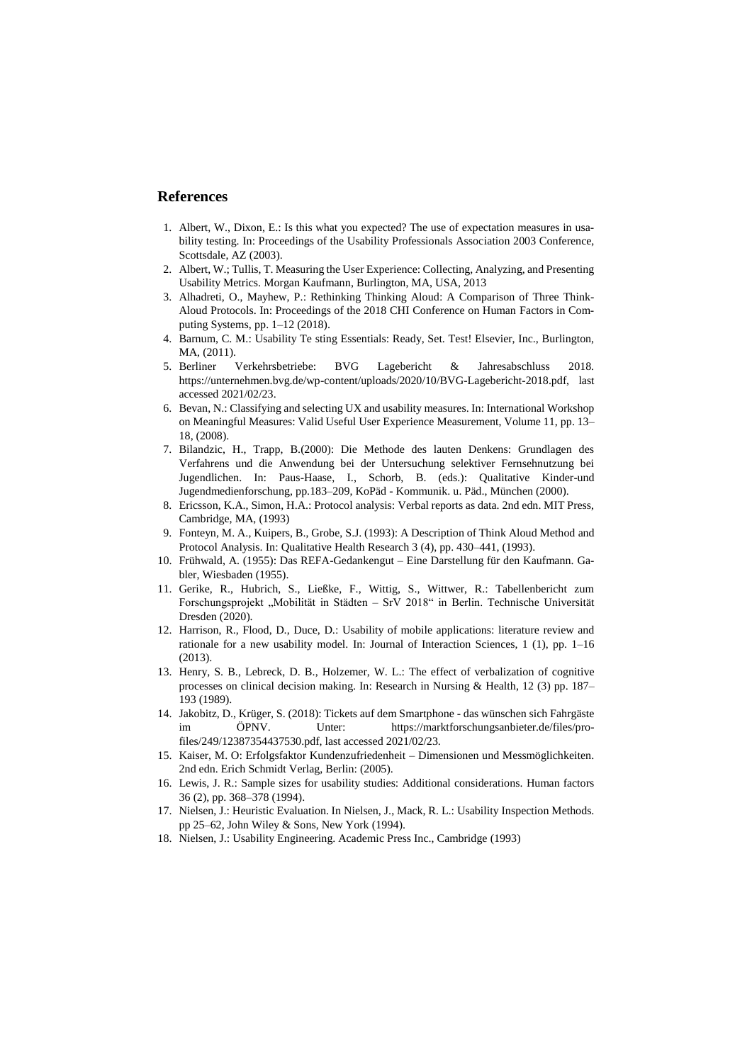### **References**

- 1. Albert, W., Dixon, E.: Is this what you expected? The use of expectation measures in usability testing. In: Proceedings of the Usability Professionals Association 2003 Conference, Scottsdale, AZ (2003).
- 2. Albert, W.; Tullis, T. Measuring the User Experience: Collecting, Analyzing, and Presenting Usability Metrics. Morgan Kaufmann, Burlington, MA, USA, 2013
- 3. Alhadreti, O., Mayhew, P.: Rethinking Thinking Aloud: A Comparison of Three Think-Aloud Protocols. In: Proceedings of the 2018 CHI Conference on Human Factors in Computing Systems, pp. 1–12 (2018).
- 4. Barnum, C. M.: Usability Te sting Essentials: Ready, Set. Test! Elsevier, Inc., Burlington, MA, (2011).
- 5. Berliner Verkehrsbetriebe: BVG Lagebericht & Jahresabschluss 2018. https://unternehmen.bvg.de/wp-content/uploads/2020/10/BVG-Lagebericht-2018.pdf, last accessed 2021/02/23.
- 6. Bevan, N.: Classifying and selecting UX and usability measures. In: International Workshop on Meaningful Measures: Valid Useful User Experience Measurement, Volume 11, pp. 13– 18, (2008).
- 7. Bilandzic, H., Trapp, B.(2000): Die Methode des lauten Denkens: Grundlagen des Verfahrens und die Anwendung bei der Untersuchung selektiver Fernsehnutzung bei Jugendlichen. In: Paus-Haase, I., Schorb, B. (eds.): Qualitative Kinder-und Jugendmedienforschung, pp.183–209, KoPäd - Kommunik. u. Päd., München (2000).
- 8. Ericsson, K.A., Simon, H.A.: Protocol analysis: Verbal reports as data. 2nd edn. MIT Press, Cambridge, MA, (1993)
- 9. Fonteyn, M. A., Kuipers, B., Grobe, S.J. (1993): A Description of Think Aloud Method and Protocol Analysis. In: Qualitative Health Research 3 (4), pp. 430–441, (1993).
- 10. Frühwald, A. (1955): Das REFA-Gedankengut Eine Darstellung für den Kaufmann. Gabler, Wiesbaden (1955).
- 11. Gerike, R., Hubrich, S., Ließke, F., Wittig, S., Wittwer, R.: Tabellenbericht zum Forschungsprojekt "Mobilität in Städten – SrV 2018" in Berlin. Technische Universität Dresden (2020).
- 12. Harrison, R., Flood, D., Duce, D.: Usability of mobile applications: literature review and rationale for a new usability model. In: Journal of Interaction Sciences, 1 (1), pp. 1–16 (2013).
- 13. Henry, S. B., Lebreck, D. B., Holzemer, W. L.: The effect of verbalization of cognitive processes on clinical decision making. In: Research in Nursing & Health, 12 (3) pp. 187– 193 (1989).
- 14. Jakobitz, D., Krüger, S. (2018): Tickets auf dem Smartphone das wünschen sich Fahrgäste im ÖPNV. Unter: https://marktforschungsanbieter.de/files/profiles/249/12387354437530.pdf, last accessed 2021/02/23.
- 15. Kaiser, M. O: Erfolgsfaktor Kundenzufriedenheit Dimensionen und Messmöglichkeiten. 2nd edn. Erich Schmidt Verlag, Berlin: (2005).
- 16. Lewis, J. R.: Sample sizes for usability studies: Additional considerations. Human factors 36 (2), pp. 368–378 (1994).
- 17. Nielsen, J.: Heuristic Evaluation. In Nielsen, J., Mack, R. L.: Usability Inspection Methods. pp 25–62, John Wiley & Sons, New York (1994).
- 18. Nielsen, J.: Usability Engineering. Academic Press Inc., Cambridge (1993)